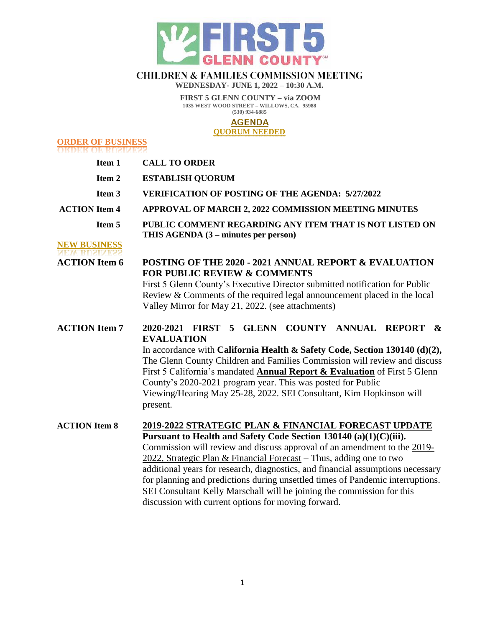

# **CHILDREN & FAMILIES COMMISSION MEETING**

**WEDNESDAY- JUNE 1, 2022 – 10:30 A.M.**

**FIRST 5 GLENN COUNTY – via ZOOM 1035 WEST WOOD STREET – WILLOWS, CA. 95988 (530) 934-6885**

### **AGENDA**

#### **QUORUM NEEDED**

**ORDER OF BUSINESS** 

| Item 1                                      | <b>CALL TO ORDER</b>                                                                                                                                                                                                                                                                                                                                                                                                                                                                                                                                                                          |  |  |
|---------------------------------------------|-----------------------------------------------------------------------------------------------------------------------------------------------------------------------------------------------------------------------------------------------------------------------------------------------------------------------------------------------------------------------------------------------------------------------------------------------------------------------------------------------------------------------------------------------------------------------------------------------|--|--|
| Item 2                                      | <b>ESTABLISH QUORUM</b>                                                                                                                                                                                                                                                                                                                                                                                                                                                                                                                                                                       |  |  |
| Item 3                                      | <b>VERIFICATION OF POSTING OF THE AGENDA: 5/27/2022</b>                                                                                                                                                                                                                                                                                                                                                                                                                                                                                                                                       |  |  |
| <b>ACTION</b> Item 4                        | APPROVAL OF MARCH 2, 2022 COMMISSION MEETING MINUTES                                                                                                                                                                                                                                                                                                                                                                                                                                                                                                                                          |  |  |
| Item 5                                      | PUBLIC COMMENT REGARDING ANY ITEM THAT IS NOT LISTED ON<br>THIS AGENDA (3 – minutes per person)                                                                                                                                                                                                                                                                                                                                                                                                                                                                                               |  |  |
| <b>NEW BUSINESS</b><br><b>ACTION</b> Item 6 | POSTING OF THE 2020 - 2021 ANNUAL REPORT & EVALUATION<br><b>FOR PUBLIC REVIEW &amp; COMMENTS</b><br>First 5 Glenn County's Executive Director submitted notification for Public<br>Review & Comments of the required legal announcement placed in the local<br>Valley Mirror for May 21, 2022. (see attachments)                                                                                                                                                                                                                                                                              |  |  |
| <b>ACTION</b> Item 7                        | <b>GLENN COUNTY ANNUAL</b><br>2020-2021 FIRST<br><b>REPORT</b><br>5<br>$\boldsymbol{\mathcal{X}}$<br><b>EVALUATION</b><br>In accordance with California Health & Safety Code, Section 130140 (d)(2),<br>The Glenn County Children and Families Commission will review and discuss<br>First 5 California's mandated <b>Annual Report &amp; Evaluation</b> of First 5 Glenn<br>County's 2020-2021 program year. This was posted for Public<br>Viewing/Hearing May 25-28, 2022. SEI Consultant, Kim Hopkinson will<br>present.                                                                   |  |  |
| <b>ACTION</b> Item 8                        | <u>2019-2022 STRATEGIC PLAN &amp; FINANCIAL FORECAST UPDATE</u><br>Pursuant to Health and Safety Code Section 130140 (a)(1)(C)(iii).<br>Commission will review and discuss approval of an amendment to the 2019-<br>2022, Strategic Plan & Financial Forecast – Thus, adding one to two<br>additional years for research, diagnostics, and financial assumptions necessary<br>for planning and predictions during unsettled times of Pandemic interruptions.<br>SEI Consultant Kelly Marschall will be joining the commission for this<br>discussion with current options for moving forward. |  |  |